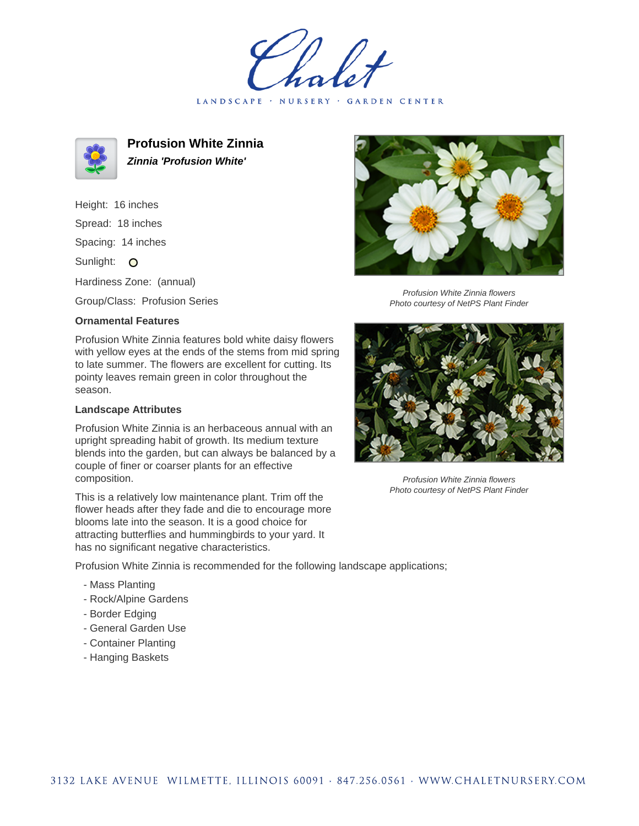LANDSCAPE · NURSERY · GARDEN CENTER



**Profusion White Zinnia Zinnia 'Profusion White'**

Height: 16 inches Spread: 18 inches Spacing: 14 inches Sunlight: O Hardiness Zone: (annual)

Group/Class: Profusion Series

## **Ornamental Features**

Profusion White Zinnia features bold white daisy flowers with yellow eyes at the ends of the stems from mid spring to late summer. The flowers are excellent for cutting. Its pointy leaves remain green in color throughout the season.

## **Landscape Attributes**

Profusion White Zinnia is an herbaceous annual with an upright spreading habit of growth. Its medium texture blends into the garden, but can always be balanced by a couple of finer or coarser plants for an effective composition.

This is a relatively low maintenance plant. Trim off the flower heads after they fade and die to encourage more blooms late into the season. It is a good choice for attracting butterflies and hummingbirds to your yard. It has no significant negative characteristics.



Profusion White Zinnia flowers Photo courtesy of NetPS Plant Finder



Profusion White Zinnia flowers Photo courtesy of NetPS Plant Finder

Profusion White Zinnia is recommended for the following landscape applications;

- Mass Planting
- Rock/Alpine Gardens
- Border Edging
- General Garden Use
- Container Planting
- Hanging Baskets